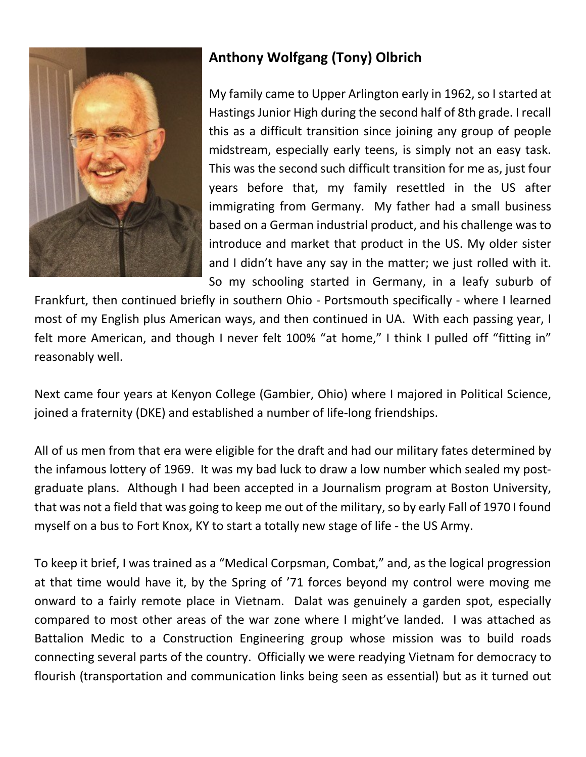

## **Anthony Wolfgang (Tony) Olbrich**

My family came to Upper Arlington early in 1962, so I started at Hastings Junior High during the second half of 8th grade. I recall this as a difficult transition since joining any group of people midstream, especially early teens, is simply not an easy task. This was the second such difficult transition for me as, just four years before that, my family resettled in the US after immigrating from Germany. My father had a small business based on a German industrial product, and his challenge was to introduce and market that product in the US. My older sister and I didn't have any say in the matter; we just rolled with it. So my schooling started in Germany, in a leafy suburb of

Frankfurt, then continued briefly in southern Ohio - Portsmouth specifically - where I learned most of my English plus American ways, and then continued in UA. With each passing year, I felt more American, and though I never felt 100% "at home," I think I pulled off "fitting in" reasonably well.

Next came four years at Kenyon College (Gambier, Ohio) where I majored in Political Science, joined a fraternity (DKE) and established a number of life-long friendships.

All of us men from that era were eligible for the draft and had our military fates determined by the infamous lottery of 1969. It was my bad luck to draw a low number which sealed my postgraduate plans. Although I had been accepted in a Journalism program at Boston University, that was not a field that was going to keep me out of the military, so by early Fall of 1970 I found myself on a bus to Fort Knox, KY to start a totally new stage of life - the US Army.

To keep it brief, I was trained as a "Medical Corpsman, Combat," and, as the logical progression at that time would have it, by the Spring of '71 forces beyond my control were moving me onward to a fairly remote place in Vietnam. Dalat was genuinely a garden spot, especially compared to most other areas of the war zone where I might've landed. I was attached as Battalion Medic to a Construction Engineering group whose mission was to build roads connecting several parts of the country. Officially we were readying Vietnam for democracy to flourish (transportation and communication links being seen as essential) but as it turned out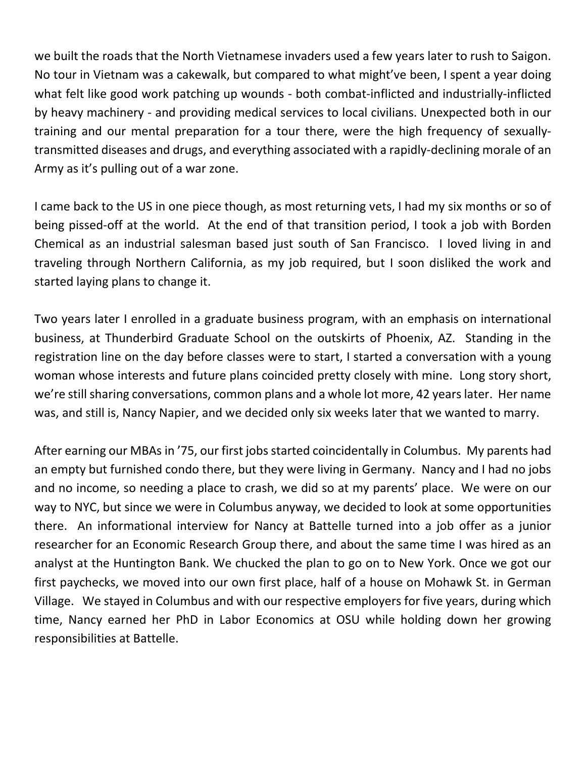we built the roads that the North Vietnamese invaders used a few years later to rush to Saigon. No tour in Vietnam was a cakewalk, but compared to what might've been, I spent a year doing what felt like good work patching up wounds - both combat-inflicted and industrially-inflicted by heavy machinery - and providing medical services to local civilians. Unexpected both in our training and our mental preparation for a tour there, were the high frequency of sexuallytransmitted diseases and drugs, and everything associated with a rapidly-declining morale of an Army as it's pulling out of a war zone.

I came back to the US in one piece though, as most returning vets, I had my six months or so of being pissed-off at the world. At the end of that transition period, I took a job with Borden Chemical as an industrial salesman based just south of San Francisco. I loved living in and traveling through Northern California, as my job required, but I soon disliked the work and started laying plans to change it.

Two years later I enrolled in a graduate business program, with an emphasis on international business, at Thunderbird Graduate School on the outskirts of Phoenix, AZ. Standing in the registration line on the day before classes were to start, I started a conversation with a young woman whose interests and future plans coincided pretty closely with mine. Long story short, we're still sharing conversations, common plans and a whole lot more, 42 years later. Her name was, and still is, Nancy Napier, and we decided only six weeks later that we wanted to marry.

After earning our MBAs in '75, our first jobs started coincidentally in Columbus. My parents had an empty but furnished condo there, but they were living in Germany. Nancy and I had no jobs and no income, so needing a place to crash, we did so at my parents' place. We were on our way to NYC, but since we were in Columbus anyway, we decided to look at some opportunities there. An informational interview for Nancy at Battelle turned into a job offer as a junior researcher for an Economic Research Group there, and about the same time I was hired as an analyst at the Huntington Bank. We chucked the plan to go on to New York. Once we got our first paychecks, we moved into our own first place, half of a house on Mohawk St. in German Village. We stayed in Columbus and with our respective employers for five years, during which time, Nancy earned her PhD in Labor Economics at OSU while holding down her growing responsibilities at Battelle.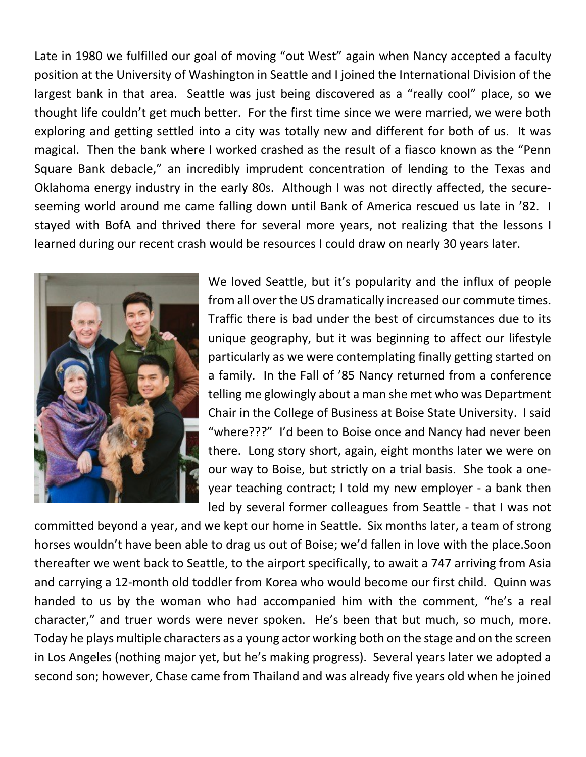Late in 1980 we fulfilled our goal of moving "out West" again when Nancy accepted a faculty position at the University of Washington in Seattle and I joined the International Division of the largest bank in that area. Seattle was just being discovered as a "really cool" place, so we thought life couldn't get much better. For the first time since we were married, we were both exploring and getting settled into a city was totally new and different for both of us. It was magical. Then the bank where I worked crashed as the result of a fiasco known as the "Penn Square Bank debacle," an incredibly imprudent concentration of lending to the Texas and Oklahoma energy industry in the early 80s. Although I was not directly affected, the secureseeming world around me came falling down until Bank of America rescued us late in '82. I stayed with BofA and thrived there for several more years, not realizing that the lessons I learned during our recent crash would be resources I could draw on nearly 30 years later.



We loved Seattle, but it's popularity and the influx of people from all over the US dramatically increased our commute times. Traffic there is bad under the best of circumstances due to its unique geography, but it was beginning to affect our lifestyle particularly as we were contemplating finally getting started on a family. In the Fall of '85 Nancy returned from a conference telling me glowingly about a man she met who was Department Chair in the College of Business at Boise State University. I said "where???" I'd been to Boise once and Nancy had never been there. Long story short, again, eight months later we were on our way to Boise, but strictly on a trial basis. She took a oneyear teaching contract; I told my new employer - a bank then led by several former colleagues from Seattle - that I was not

committed beyond a year, and we kept our home in Seattle. Six months later, a team of strong horses wouldn't have been able to drag us out of Boise; we'd fallen in love with the place.Soon thereafter we went back to Seattle, to the airport specifically, to await a 747 arriving from Asia and carrying a 12-month old toddler from Korea who would become our first child. Quinn was handed to us by the woman who had accompanied him with the comment, "he's a real character," and truer words were never spoken. He's been that but much, so much, more. Today he plays multiple characters as a young actor working both on the stage and on the screen in Los Angeles (nothing major yet, but he's making progress). Several years later we adopted a second son; however, Chase came from Thailand and was already five years old when he joined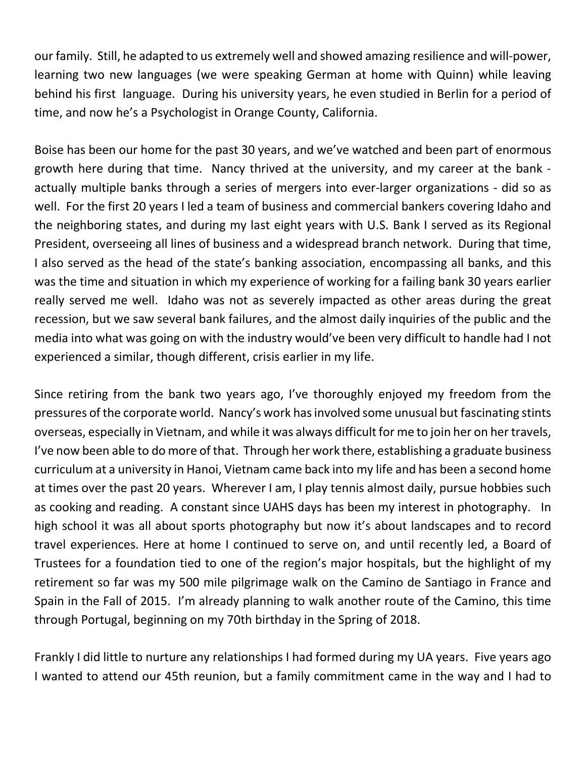our family. Still, he adapted to us extremely well and showed amazing resilience and will-power, learning two new languages (we were speaking German at home with Quinn) while leaving behind his first language. During his university years, he even studied in Berlin for a period of time, and now he's a Psychologist in Orange County, California.

Boise has been our home for the past 30 years, and we've watched and been part of enormous growth here during that time. Nancy thrived at the university, and my career at the bank actually multiple banks through a series of mergers into ever-larger organizations - did so as well. For the first 20 years I led a team of business and commercial bankers covering Idaho and the neighboring states, and during my last eight years with U.S. Bank I served as its Regional President, overseeing all lines of business and a widespread branch network. During that time, I also served as the head of the state's banking association, encompassing all banks, and this was the time and situation in which my experience of working for a failing bank 30 years earlier really served me well. Idaho was not as severely impacted as other areas during the great recession, but we saw several bank failures, and the almost daily inquiries of the public and the media into what was going on with the industry would've been very difficult to handle had I not experienced a similar, though different, crisis earlier in my life.

Since retiring from the bank two years ago, I've thoroughly enjoyed my freedom from the pressures of the corporate world. Nancy's work hasinvolved some unusual but fascinating stints overseas, especially in Vietnam, and while it was always difficult for me to join her on her travels, I've now been able to do more of that. Through her work there, establishing a graduate business curriculum at a university in Hanoi, Vietnam came back into my life and has been a second home at times over the past 20 years. Wherever I am, I play tennis almost daily, pursue hobbies such as cooking and reading. A constant since UAHS days has been my interest in photography. In high school it was all about sports photography but now it's about landscapes and to record travel experiences. Here at home I continued to serve on, and until recently led, a Board of Trustees for a foundation tied to one of the region's major hospitals, but the highlight of my retirement so far was my 500 mile pilgrimage walk on the Camino de Santiago in France and Spain in the Fall of 2015. I'm already planning to walk another route of the Camino, this time through Portugal, beginning on my 70th birthday in the Spring of 2018.

Frankly I did little to nurture any relationships I had formed during my UA years. Five years ago I wanted to attend our 45th reunion, but a family commitment came in the way and I had to